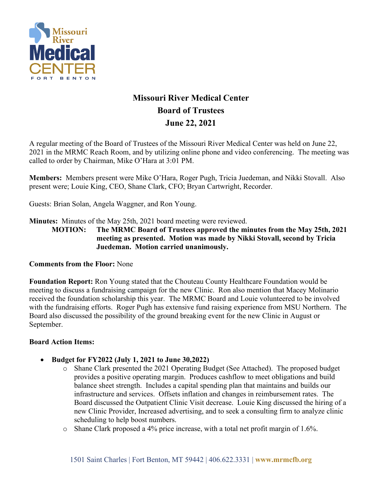

# **Missouri River Medical Center Board of Trustees June 22, 2021**

A regular meeting of the Board of Trustees of the Missouri River Medical Center was held on June 22, 2021 in the MRMC Reach Room, and by utilizing online phone and video conferencing. The meeting was called to order by Chairman, Mike O'Hara at 3:01 PM.

**Members:** Members present were Mike O'Hara, Roger Pugh, Tricia Juedeman, and Nikki Stovall. Also present were; Louie King, CEO, Shane Clark, CFO; Bryan Cartwright, Recorder.

Guests: Brian Solan, Angela Waggner, and Ron Young.

**Minutes:** Minutes of the May 25th, 2021 board meeting were reviewed.

**MOTION: The MRMC Board of Trustees approved the minutes from the May 25th, 2021 meeting as presented. Motion was made by Nikki Stovall, second by Tricia Juedeman. Motion carried unanimously.**

#### **Comments from the Floor:** None

**Foundation Report:** Ron Young stated that the Chouteau County Healthcare Foundation would be meeting to discuss a fundraising campaign for the new Clinic. Ron also mention that Macey Molinario received the foundation scholarship this year. The MRMC Board and Louie volunteered to be involved with the fundraising efforts. Roger Pugh has extensive fund raising experience from MSU Northern. The Board also discussed the possibility of the ground breaking event for the new Clinic in August or September.

#### **Board Action Items:**

- **Budget for FY2022 (July 1, 2021 to June 30,2022)**
	- o Shane Clark presented the 2021 Operating Budget (See Attached). The proposed budget provides a positive operating margin. Produces cashflow to meet obligations and build balance sheet strength. Includes a capital spending plan that maintains and builds our infrastructure and services. Offsets inflation and changes in reimbursement rates. The Board discussed the Outpatient Clinic Visit decrease. Louie King discussed the hiring of a new Clinic Provider, Increased advertising, and to seek a consulting firm to analyze clinic scheduling to help boost numbers.
	- o Shane Clark proposed a 4% price increase, with a total net profit margin of 1.6%.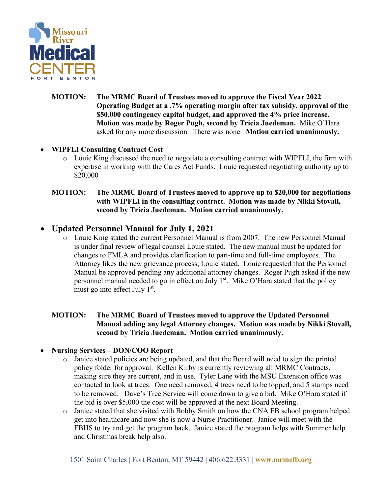

**MOTION: The MRMC Board of Trustees moved to approve the Fiscal Year 2022 Operating Budget at a .7% operating margin after tax subsidy, approval of the \$50,000 contingency capital budget, and approved the 4% price increase. Motion was made by Roger Pugh, second by Tricia Juedeman.** Mike O'Hara asked for any more discussion. There was none. **Motion carried unanimously.**

### • **WIPFLI Consulting Contract Cost**

o Louie King discussed the need to negotiate a consulting contract with WIPFLI, the firm with expertise in working with the Cares Act Funds. Louie requested negotiating authority up to \$20,000

#### **MOTION: The MRMC Board of Trustees moved to approve up to \$20,000 for negotiations with WIPFLI in the consulting contract. Motion was made by Nikki Stovall, second by Tricia Juedeman. Motion carried unanimously.**

# • **Updated Personnel Manual for July 1, 2021**

o Louie King stated the current Personnel Manual is from 2007. The new Personnel Manual is under final review of legal counsel Louie stated. The new manual must be updated for changes to FMLA and provides clarification to part-time and full-time employees. The Attorney likes the new grievance process, Louie stated. Louie requested that the Personnel Manual be approved pending any additional attorney changes. Roger Pugh asked if the new personnel manual needed to go in effect on July  $1<sup>st</sup>$ . Mike O'Hara stated that the policy must go into effect July  $1<sup>st</sup>$ .

#### **MOTION: The MRMC Board of Trustees moved to approve the Updated Personnel Manual adding any legal Attorney changes. Motion was made by Nikki Stovall, second by Tricia Juedeman. Motion carried unanimously.**

- **Nursing Services – DON/COO Report**
	- o Janice stated policies are being updated, and that the Board will need to sign the printed policy folder for approval. Kellen Kirby is currently reviewing all MRMC Contracts, making sure they are current, and in use. Tyler Lane with the MSU Extension office was contacted to look at trees. One need removed, 4 trees need to be topped, and 5 stumps need to be removed. Dave's Tree Service will come down to give a bid. Mike O'Hara stated if the bid is over \$5,000 the cost will be approved at the next Board Meeting.
	- o Janice stated that she visited with Bobby Smith on how the CNA FB school program helped get into healthcare and now she is now a Nurse Practitioner. Janice will meet with the FBHS to try and get the program back. Janice stated the program helps with Summer help and Christmas break help also.